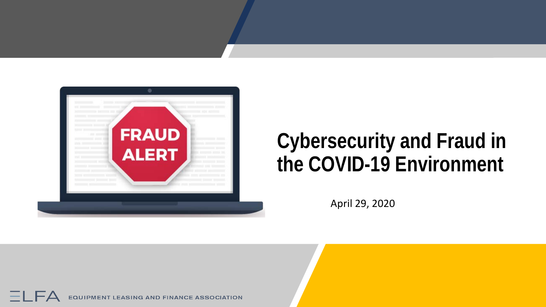

## **Cybersecurity and Fraud in the COVID-19 Environment**

April 29, 2020

 $=$   $\Box$ **EQUIPMENT LEASING AND FINANCE ASSOCIATION**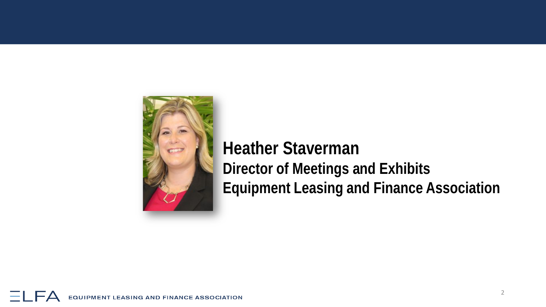

#### **Heather Staverman Director of Meetings and Exhibits Equipment Leasing and Finance Association**

 $\overline{\phantom{a}}$ **EQUIPMENT LEASING AND FINANCE ASSOCIATION**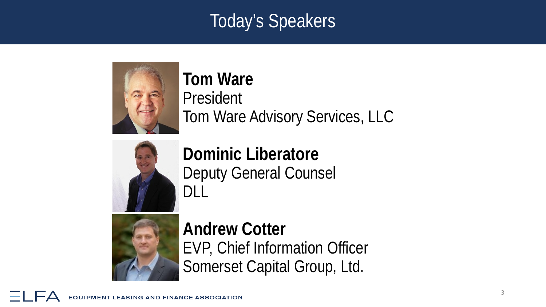### Today's Speakers



**Tom Ware** President Tom Ware Advisory Services, LLC



**Dominic Liberatore** Deputy General Counsel DLL



**Andrew Cotter** EVP, Chief Information Officer Somerset Capital Group, Ltd.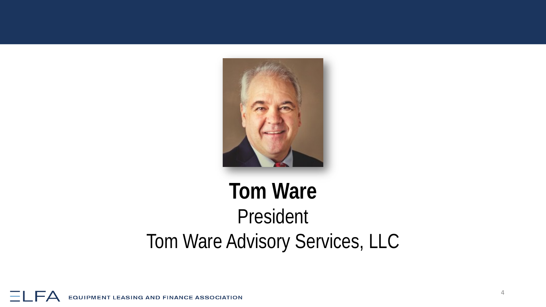

## **Tom Ware** President Tom Ware Advisory Services, LLC

 $\overline{\phantom{a}}$ **EQUIPMENT LEASING AND FINANCE ASSOCIATION**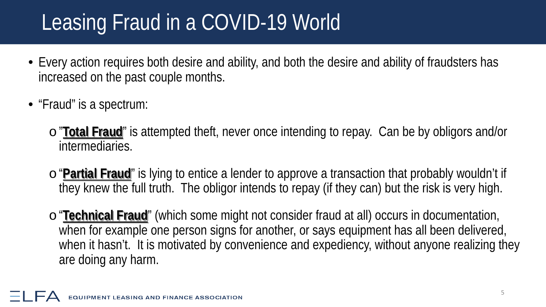# Leasing Fraud in a COVID-19 World

- Every action requires both desire and ability, and both the desire and ability of fraudsters has increased on the past couple months.
- "Fraud" is a spectrum:
	- o"**Total Fraud**" is attempted theft, never once intending to repay. Can be by obligors and/or intermediaries.
	- o"**Partial Fraud**" is lying to entice a lender to approve a transaction that probably wouldn't if they knew the full truth. The obligor intends to repay (if they can) but the risk is very high.
	- o"**Technical Fraud**" (which some might not consider fraud at all) occurs in documentation, when for example one person signs for another, or says equipment has all been delivered, when it hasn't. It is motivated by convenience and expediency, without anyone realizing they are doing any harm.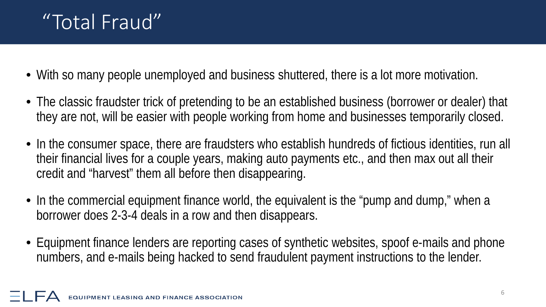### "Total Fraud"

- With so many people unemployed and business shuttered, there is a lot more motivation.
- The classic fraudster trick of pretending to be an established business (borrower or dealer) that they are not, will be easier with people working from home and businesses temporarily closed.
- In the consumer space, there are fraudsters who establish hundreds of fictious identities, run all their financial lives for a couple years, making auto payments etc., and then max out all their credit and "harvest" them all before then disappearing.
- In the commercial equipment finance world, the equivalent is the "pump and dump," when a borrower does 2-3-4 deals in a row and then disappears.
- Equipment finance lenders are reporting cases of synthetic websites, spoof e-mails and phone numbers, and e-mails being hacked to send fraudulent payment instructions to the lender.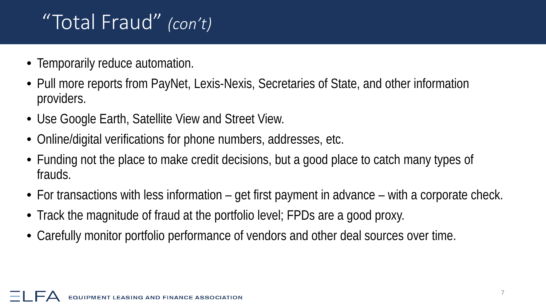## "Total Fraud" *(con't)*

- Temporarily reduce automation.
- Pull more reports from PayNet, Lexis-Nexis, Secretaries of State, and other information providers.
- Use Google Earth, Satellite View and Street View.
- Online/digital verifications for phone numbers, addresses, etc.
- Funding not the place to make credit decisions, but a good place to catch many types of frauds.
- For transactions with less information get first payment in advance with a corporate check.
- Track the magnitude of fraud at the portfolio level; FPDs are a good proxy.
- Carefully monitor portfolio performance of vendors and other deal sources over time.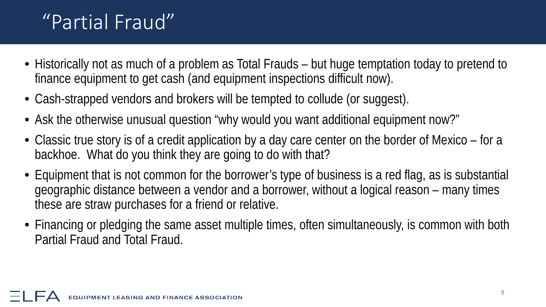### "Partial Fraud"

- Historically not as much of a problem as Total Frauds but huge temptation today to pretend to finance equipment to get cash (and equipment inspections difficult now).
- Cash-strapped vendors and brokers will be tempted to collude (or suggest).
- Ask the otherwise unusual question "why would you want additional equipment now?"
- Classic true story is of a credit application by a day care center on the border of Mexico for a backhoe. What do you think they are going to do with that?
- Equipment that is not common for the borrower's type of business is a red flag, as is substantial geographic distance between a vendor and a borrower, without a logical reason – many times these are straw purchases for a friend or relative.
- Financing or pledging the same asset multiple times, often simultaneously, is common with both Partial Fraud and Total Fraud.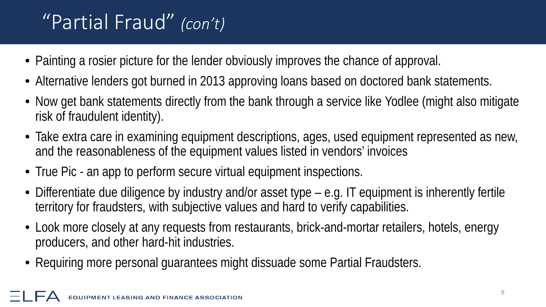## "Partial Fraud" *(con't)*

- Painting a rosier picture for the lender obviously improves the chance of approval.
- Alternative lenders got burned in 2013 approving loans based on doctored bank statements.
- Now get bank statements directly from the bank through a service like Yodlee (might also mitigate risk of fraudulent identity).
- Take extra care in examining equipment descriptions, ages, used equipment represented as new, and the reasonableness of the equipment values listed in vendors' invoices
- True Pic an app to perform secure virtual equipment inspections.
- Differentiate due diligence by industry and/or asset type e.g. IT equipment is inherently fertile territory for fraudsters, with subjective values and hard to verify capabilities.
- Look more closely at any requests from restaurants, brick-and-mortar retailers, hotels, energy producers, and other hard-hit industries.
- Requiring more personal guarantees might dissuade some Partial Fraudsters.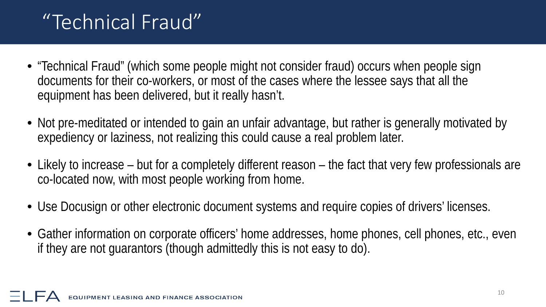### "Technical Fraud"

- "Technical Fraud" (which some people might not consider fraud) occurs when people sign documents for their co-workers, or most of the cases where the lessee says that all the equipment has been delivered, but it really hasn't.
- Not pre-meditated or intended to gain an unfair advantage, but rather is generally motivated by expediency or laziness, not realizing this could cause a real problem later.
- Likely to increase but for a completely different reason the fact that very few professionals are co-located now, with most people working from home.
- Use Docusign or other electronic document systems and require copies of drivers' licenses.
- Gather information on corporate officers' home addresses, home phones, cell phones, etc., even if they are not guarantors (though admittedly this is not easy to do).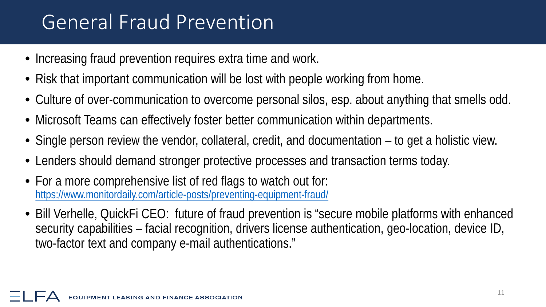### General Fraud Prevention

- Increasing fraud prevention requires extra time and work.
- Risk that important communication will be lost with people working from home.
- Culture of over-communication to overcome personal silos, esp. about anything that smells odd.
- Microsoft Teams can effectively foster better communication within departments.
- Single person review the vendor, collateral, credit, and documentation to get a holistic view.
- Lenders should demand stronger protective processes and transaction terms today.
- For a more comprehensive list of red flags to watch out for: <https://www.monitordaily.com/article-posts/preventing-equipment-fraud/>
- Bill Verhelle, QuickFi CEO: future of fraud prevention is "secure mobile platforms with enhanced security capabilities – facial recognition, drivers license authentication, geo-location, device ID, two-factor text and company e-mail authentications."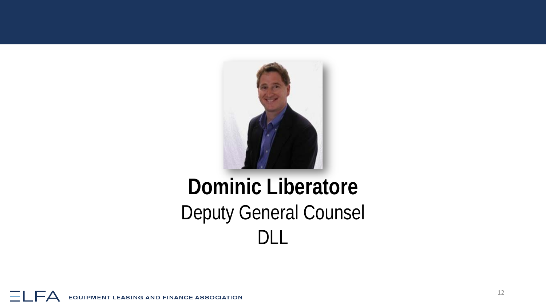

## **Dominic Liberatore** Deputy General Counsel DLL

ΞI **EQUIPMENT LEASING AND FINANCE ASSOCIATION**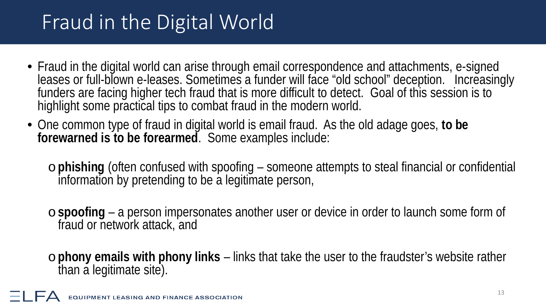## Fraud in the Digital World

- Fraud in the digital world can arise through email correspondence and attachments, e-signed leases or full-blown e-leases. Sometimes a funder will face "old school" deception. Increasingly funders are facing higher tech fraud that is more difficult to detect. Goal of this session is to highlight some practical tips to combat fraud in the modern world.
- One common type of fraud in digital world is email fraud. As the old adage goes, **to be forewarned is to be forearmed**. Some examples include:

o**phishing** (often confused with spoofing – someone attempts to steal financial or confidential information by pretending to be a legitimate person,

o**spoofing** – a person impersonates another user or device in order to launch some form of fraud or network attack, and

o**phony emails with phony links** – links that take the user to the fraudster's website rather than a legitimate site).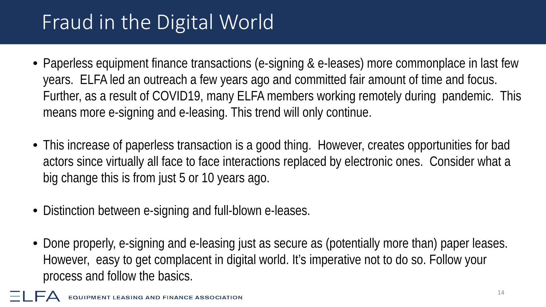## Fraud in the Digital World

- Paperless equipment finance transactions (e-signing & e-leases) more commonplace in last few years. ELFA led an outreach a few years ago and committed fair amount of time and focus. Further, as a result of COVID19, many ELFA members working remotely during pandemic. This means more e-signing and e-leasing. This trend will only continue.
- This increase of paperless transaction is a good thing. However, creates opportunities for bad actors since virtually all face to face interactions replaced by electronic ones. Consider what a big change this is from just 5 or 10 years ago.
- Distinction between e-signing and full-blown e-leases.
- Done properly, e-signing and e-leasing just as secure as (potentially more than) paper leases. However, easy to get complacent in digital world. It's imperative not to do so. Follow your process and follow the basics.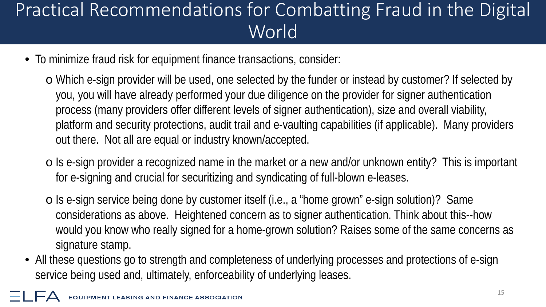- To minimize fraud risk for equipment finance transactions, consider:
	- o Which e-sign provider will be used, one selected by the funder or instead by customer? If selected by you, you will have already performed your due diligence on the provider for signer authentication process (many providers offer different levels of signer authentication), size and overall viability, platform and security protections, audit trail and e-vaulting capabilities (if applicable). Many providers out there. Not all are equal or industry known/accepted.
	- o Is e-sign provider a recognized name in the market or a new and/or unknown entity? This is important for e-signing and crucial for securitizing and syndicating of full-blown e-leases.
	- o Is e-sign service being done by customer itself (i.e., a "home grown" e-sign solution)? Same considerations as above. Heightened concern as to signer authentication. Think about this--how would you know who really signed for a home-grown solution? Raises some of the same concerns as signature stamp.
- All these questions go to strength and completeness of underlying processes and protections of e-sign service being used and, ultimately, enforceability of underlying leases.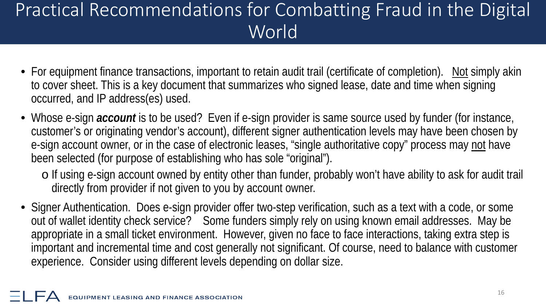- For equipment finance transactions, important to retain audit trail (certificate of completion). Not simply akin to cover sheet. This is a key document that summarizes who signed lease, date and time when signing occurred, and IP address(es) used.
- Whose e-sign *account* is to be used? Even if e-sign provider is same source used by funder (for instance, customer's or originating vendor's account), different signer authentication levels may have been chosen by e-sign account owner, or in the case of electronic leases, "single authoritative copy" process may not have been selected (for purpose of establishing who has sole "original").
	- o If using e-sign account owned by entity other than funder, probably won't have ability to ask for audit trail directly from provider if not given to you by account owner.
- Signer Authentication. Does e-sign provider offer two-step verification, such as a text with a code, or some out of wallet identity check service? Some funders simply rely on using known email addresses. May be appropriate in a small ticket environment. However, given no face to face interactions, taking extra step is important and incremental time and cost generally not significant. Of course, need to balance with customer experience. Consider using different levels depending on dollar size.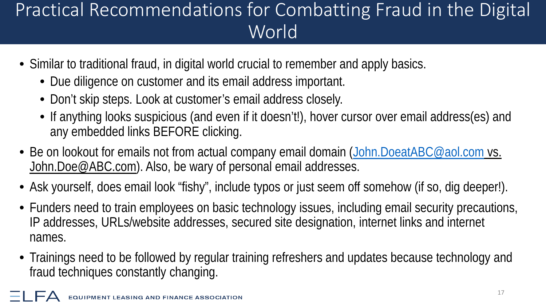- Similar to traditional fraud, in digital world crucial to remember and apply basics.
	- Due diligence on customer and its email address important.
	- Don't skip steps. Look at customer's email address closely.
	- If anything looks suspicious (and even if it doesn't!), hover cursor over email address(es) and any embedded links BEFORE clicking.
- Be on lookout for emails not from actual company email domain ([John.DoeatABC@aol.com](mailto:John.DoeatABC@aol.com) vs. John.Doe@ABC.com). Also, be wary of personal email addresses.
- Ask yourself, does email look "fishy", include typos or just seem off somehow (if so, dig deeper!).
- Funders need to train employees on basic technology issues, including email security precautions, IP addresses, URLs/website addresses, secured site designation, internet links and internet names.
- Trainings need to be followed by regular training refreshers and updates because technology and fraud techniques constantly changing.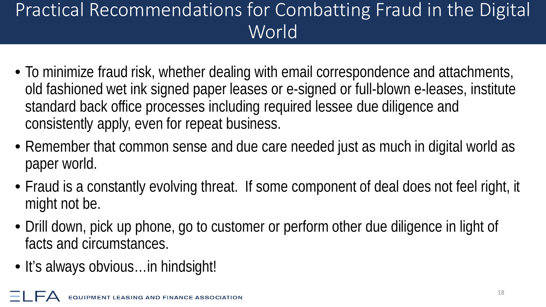- To minimize fraud risk, whether dealing with email correspondence and attachments, old fashioned wet ink signed paper leases or e-signed or full-blown e-leases, institute standard back office processes including required lessee due diligence and consistently apply, even for repeat business.
- Remember that common sense and due care needed just as much in digital world as paper world.
- Fraud is a constantly evolving threat. If some component of deal does not feel right, it might not be.
- Drill down, pick up phone, go to customer or perform other due diligence in light of facts and circumstances.
- It's always obvious... in hindsight!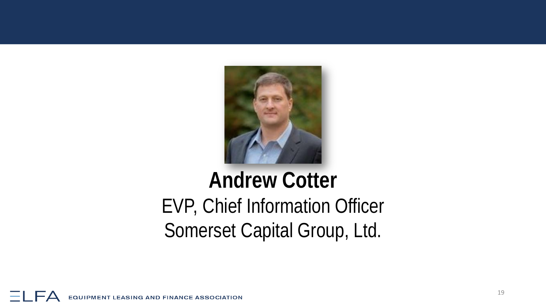

## **Andrew Cotter** EVP, Chief Information Officer Somerset Capital Group, Ltd.

 $\overline{\phantom{a}}$ **EQUIPMENT LEASING AND FINANCE ASSOCIATION**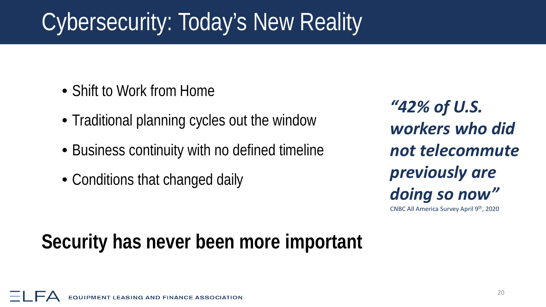# Cybersecurity: Today's New Reality

- Shift to Work from Home
- Traditional planning cycles out the window
- Business continuity with no defined timeline
- Conditions that changed daily

*"42% of U.S. workers who did not telecommute previously are doing so now"* 

CNBC All America Survey April 9th, 2020

### **Security has never been more important**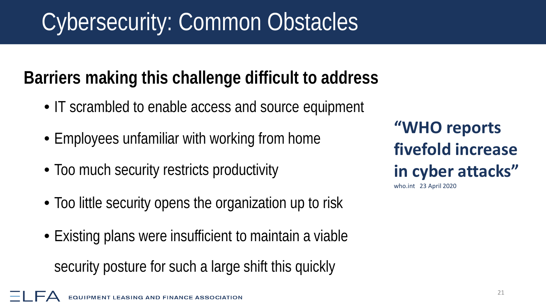# Cybersecurity: Common Obstacles

### **Barriers making this challenge difficult to address**

- IT scrambled to enable access and source equipment
- Employees unfamiliar with working from home
- Too much security restricts productivity
- Too little security opens the organization up to risk
- Existing plans were insufficient to maintain a viable security posture for such a large shift this quickly

**"WHO reports fivefold increase in cyber attacks"**  who.int 23 April 2020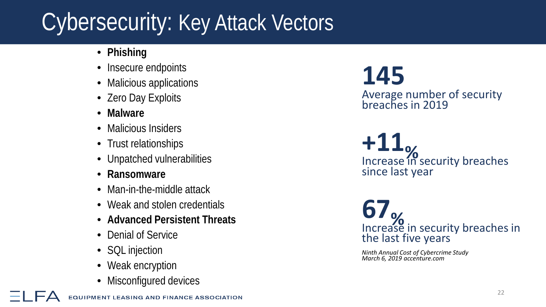# Cybersecurity: Key Attack Vectors

- **Phishing**
- Insecure endpoints
- Malicious applications
- Zero Day Exploits
- **Malware**
- Malicious Insiders
- Trust relationships
- Unpatched vulnerabilities
- **Ransomware**
- Man-in-the-middle attack
- Weak and stolen credentials
- **Advanced Persistent Threats**
- Denial of Service
- SQL injection
- Weak encryption
- Misconfigured devices

**145** 

Average number of security breaches in 2019

**+11 Media Control**<br>Increase in security breaches since last year

**67** Increase in security breaches in the last five years

*Ninth Annual Cost of Cybercrime Study March 6, 2019 accenture.com*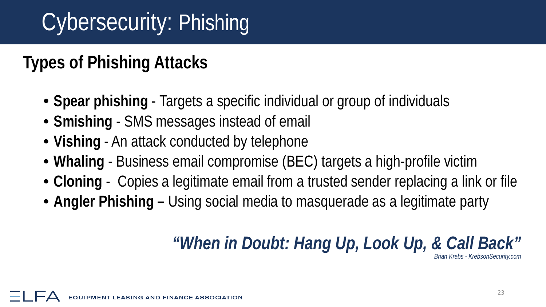# Cybersecurity: Phishing

#### **Types of Phishing Attacks**

- **Spear phishing**  Targets a specific individual or group of individuals
- **Smishing** SMS messages instead of email
- **Vishing** An attack conducted by telephone
- **Whaling** Business email compromise (BEC) targets a high-profile victim
- **Cloning** Copies a legitimate email from a trusted sender replacing a link or file
- **Angler Phishing –** Using social media to masquerade as a legitimate party

### *"When in Doubt: Hang Up, Look Up, & Call Back"*

*Brian Krebs - KrebsonSecurity.com*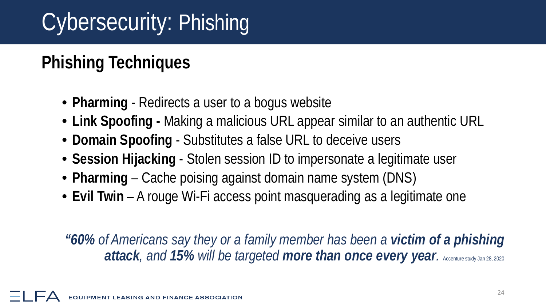# Cybersecurity: Phishing

### **Phishing Techniques**

- **Pharming**  Redirects a user to a bogus website
- **Link Spoofing -** Making a malicious URL appear similar to an authentic URL
- **Domain Spoofing**  Substitutes a false URL to deceive users
- **Session Hijacking**  Stolen session ID to impersonate a legitimate user
- **Pharming** Cache poising against domain name system (DNS)
- **Evil Twin** A rouge Wi-Fi access point masquerading as a legitimate one

*"60% of Americans say they or a family member has been a victim of a phishing attack, and 15% will be targeted more than once every year.* Accenture study Jan 28, 2020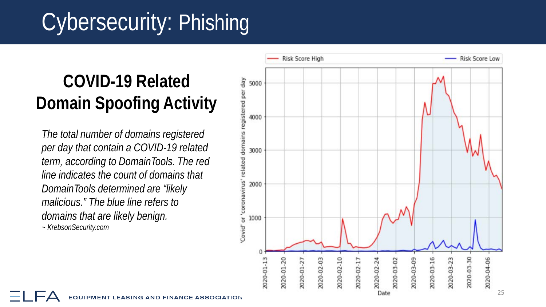# Cybersecurity: Phishing

### **COVID -19 Related Domain Spoofing Activity**

*The total number of domains registered per day that contain a COVID -19 related term, according to DomainTools. The red line indicates the count of domains that DomainTools determined are "likely malicious." The blue line refers to domains that are likely benign.* 

*~ KrebsonSecurity.com*

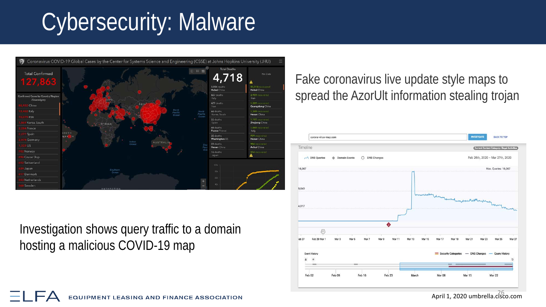# Cybersecurity: Malware



Investigation shows query traffic to a domain hosting a malicious COVID-19 map

 $\overline{\phantom{a}}$ 

Fake coronavirus live update style maps to spread the AzorUlt information stealing trojan



April 1, 2020 umbrella.cisco.com

**EQUIPMENT LEASING AND FINANCE ASSOCIATION**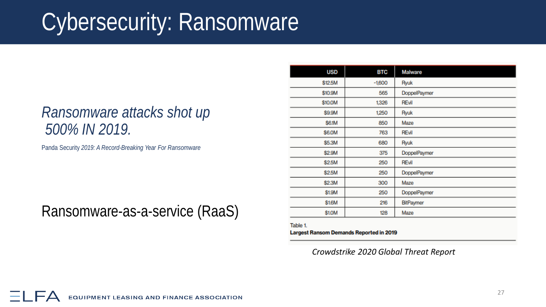# Cybersecurity: Ransomware

#### *Ransomware attacks shot up 500% IN 2019.*

Panda Security *2019: A Record-Breaking Year For Ransomware*

#### Ransomware-as-a-service (RaaS)

| <b>USD</b> | <b>BTC</b> | <b>Malware</b> |
|------------|------------|----------------|
| \$12.5M    | $-1,600$   | Ryuk           |
| \$10.9M    | 565        | DoppelPaymer   |
| \$10.0M    | 1,326      | REvil          |
| \$9.9M     | 1,250      | Ryuk           |
| \$6.1M     | 850        | Maze           |
| \$6.0M     | 763        | REvil          |
| \$5.3M     | 680        | Ryuk           |
| \$2.9M     | 375        | DoppelPaymer   |
| \$2.5M     | 250        | <b>REvil</b>   |
| \$2.5M     | 250        | DoppelPaymer   |
| \$2.3M     | 300        | Maze           |
| \$1.9M     | 250        | DoppelPaymer   |
| \$1.6M     | 216        | BitPaymer      |
| \$1.0M     | 128        | Maze           |
|            |            |                |

Table 1. **Largest Ransom Demands Reported in 2019** 

*Crowdstrike 2020 Global Threat Report*

**EQUIPMENT LEASING AND FINANCE ASSOCIATION**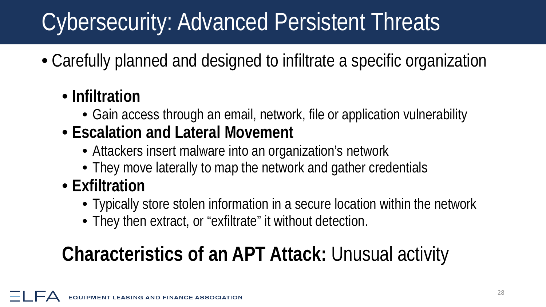# Cybersecurity: Advanced Persistent Threats

• Carefully planned and designed to infiltrate a specific organization

#### • **Infiltration**

- Gain access through an email, network, file or application vulnerability
- **Escalation and Lateral Movement**
	- Attackers insert malware into an organization's network
	- They move laterally to map the network and gather credentials
- **Exfiltration**
	- Typically store stolen information in a secure location within the network
	- They then extract, or "exfiltrate" it without detection.

## **Characteristics of an APT Attack:** Unusual activity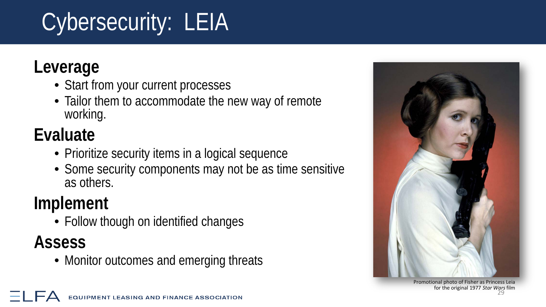# Cybersecurity: LEIA

#### **Leverage**

- Start from your current processes
- Tailor them to accommodate the new way of remote working.

## **Evaluate**

- Prioritize security items in a logical sequence
- Some security components may not be as time sensitive as others.

### **Implement**

• Follow though on identified changes

#### **Assess**

• Monitor outcomes and emerging threats



Promotional photo of Fisher as Princess Leia for the original 1977 *Star Wars*film 29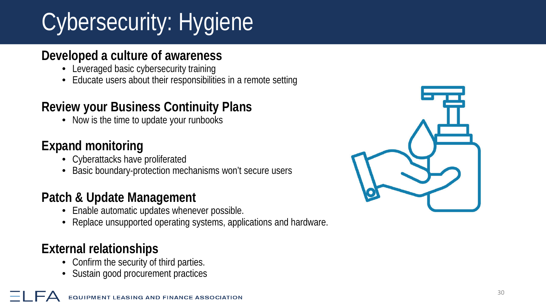# Cybersecurity: Hygiene

#### **Developed a culture of awareness**

- Leveraged basic cybersecurity training
- Educate users about their responsibilities in a remote setting

#### **Review your Business Continuity Plans**

• Now is the time to update your runbooks

#### **Expand monitoring**

- Cyberattacks have proliferated
- Basic boundary-protection mechanisms won't secure users

#### **Patch & Update Management**

- Enable automatic updates whenever possible.
- Replace unsupported operating systems, applications and hardware.

#### **External relationships**

- Confirm the security of third parties.
- Sustain good procurement practices